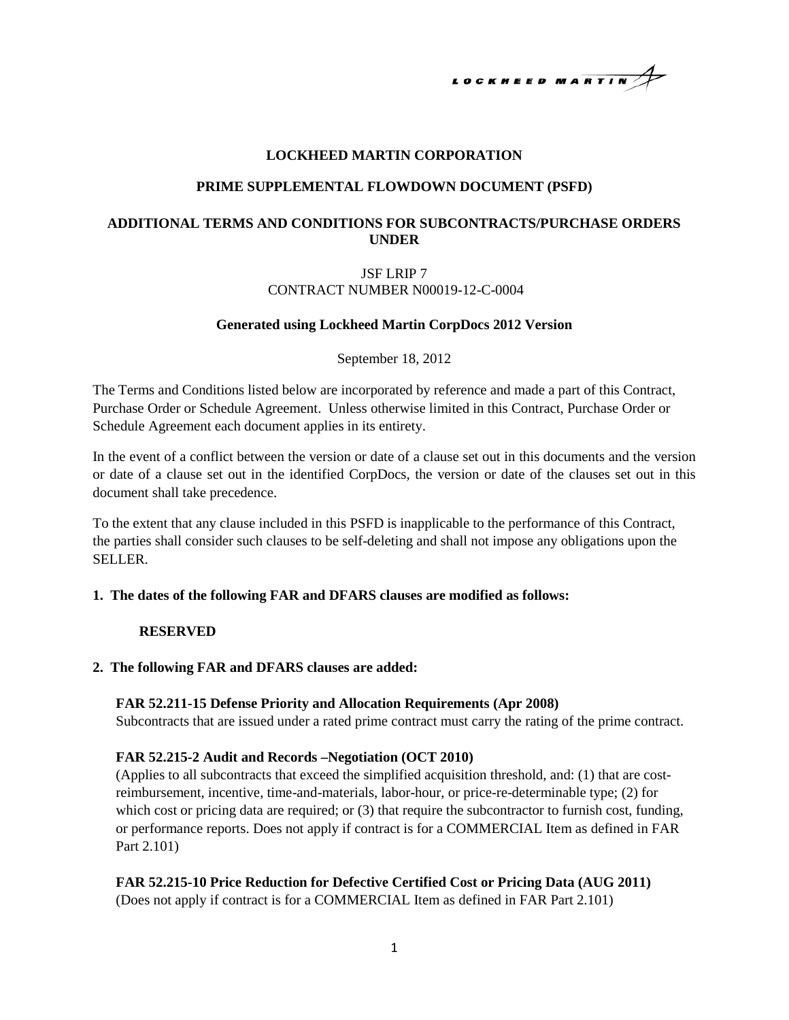

## **LOCKHEED MARTIN CORPORATION**

#### **PRIME SUPPLEMENTAL FLOWDOWN DOCUMENT (PSFD)**

# **ADDITIONAL TERMS AND CONDITIONS FOR SUBCONTRACTS/PURCHASE ORDERS UNDER**

## JSF LRIP 7 CONTRACT NUMBER N00019-12-C-0004

#### **Generated using Lockheed Martin CorpDocs 2012 Version**

September 18, 2012

The Terms and Conditions listed below are incorporated by reference and made a part of this Contract, Purchase Order or Schedule Agreement. Unless otherwise limited in this Contract, Purchase Order or Schedule Agreement each document applies in its entirety.

In the event of a conflict between the version or date of a clause set out in this documents and the version or date of a clause set out in the identified CorpDocs, the version or date of the clauses set out in this document shall take precedence.

To the extent that any clause included in this PSFD is inapplicable to the performance of this Contract, the parties shall consider such clauses to be self-deleting and shall not impose any obligations upon the SELLER.

#### **1. The dates of the following FAR and DFARS clauses are modified as follows:**

#### **RESERVED**

## **2. The following FAR and DFARS clauses are added:**

#### **FAR 52.211-15 Defense Priority and Allocation Requirements (Apr 2008)**

Subcontracts that are issued under a rated prime contract must carry the rating of the prime contract.

#### **FAR 52.215-2 Audit and Records –Negotiation (OCT 2010)**

(Applies to all subcontracts that exceed the simplified acquisition threshold, and: (1) that are costreimbursement, incentive, time-and-materials, labor-hour, or price-re-determinable type; (2) for which cost or pricing data are required; or (3) that require the subcontractor to furnish cost, funding, or performance reports. Does not apply if contract is for a COMMERCIAL Item as defined in FAR Part 2.101)

## **FAR 52.215-10 Price Reduction for Defective Certified Cost or Pricing Data (AUG 2011)**

(Does not apply if contract is for a COMMERCIAL Item as defined in FAR Part 2.101)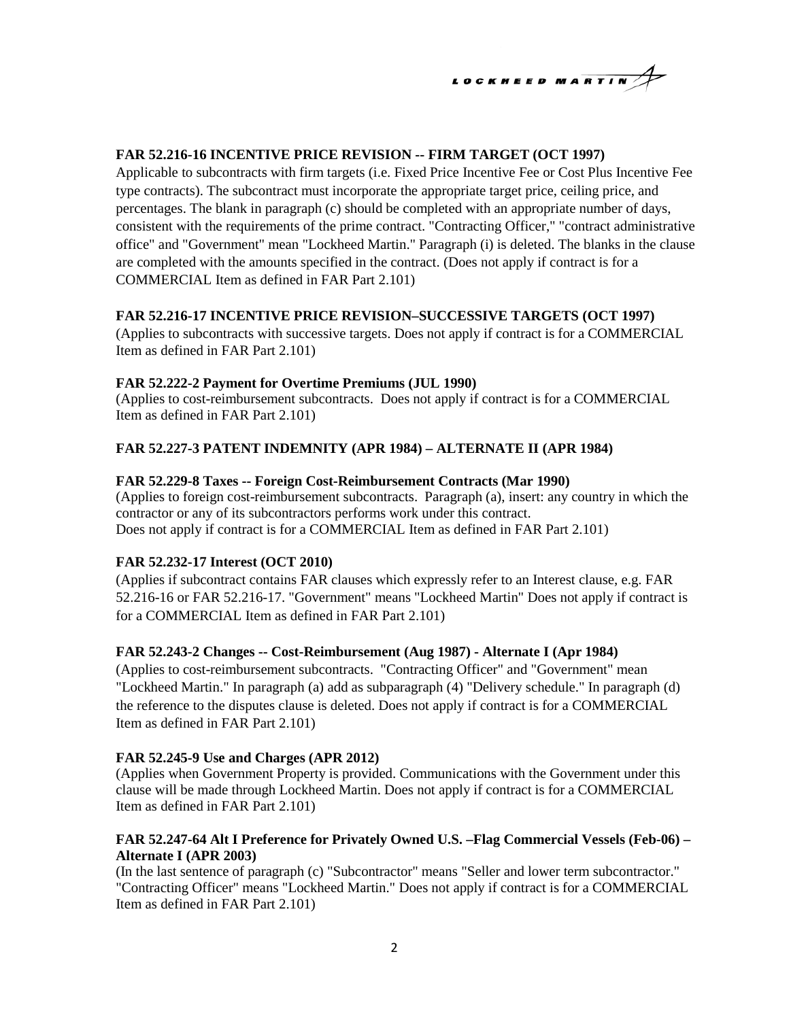# LOCKHEED MARTIN

# **FAR 52.216-16 INCENTIVE PRICE REVISION -- FIRM TARGET (OCT 1997)**

Applicable to subcontracts with firm targets (i.e. Fixed Price Incentive Fee or Cost Plus Incentive Fee type contracts). The subcontract must incorporate the appropriate target price, ceiling price, and percentages. The blank in paragraph (c) should be completed with an appropriate number of days, consistent with the requirements of the prime contract. "Contracting Officer," "contract administrative office" and "Government" mean "Lockheed Martin." Paragraph (i) is deleted. The blanks in the clause are completed with the amounts specified in the contract. (Does not apply if contract is for a COMMERCIAL Item as defined in FAR Part 2.101)

# **FAR 52.216-17 INCENTIVE PRICE REVISION–SUCCESSIVE TARGETS (OCT 1997)**

(Applies to subcontracts with successive targets. Does not apply if contract is for a COMMERCIAL Item as defined in FAR Part 2.101)

# **FAR 52.222-2 Payment for Overtime Premiums (JUL 1990)**

(Applies to cost-reimbursement subcontracts. Does not apply if contract is for a COMMERCIAL Item as defined in FAR Part 2.101)

# **FAR 52.227-3 PATENT INDEMNITY (APR 1984) – ALTERNATE II (APR 1984)**

# **FAR 52.229-8 Taxes -- Foreign Cost-Reimbursement Contracts (Mar 1990)**

(Applies to foreign cost-reimbursement subcontracts. Paragraph (a), insert: any country in which the contractor or any of its subcontractors performs work under this contract. Does not apply if contract is for a COMMERCIAL Item as defined in FAR Part 2.101)

# **FAR 52.232-17 Interest (OCT 2010)**

(Applies if subcontract contains FAR clauses which expressly refer to an Interest clause, e.g. FAR 52.216-16 or FAR 52.216-17. "Government" means "Lockheed Martin" Does not apply if contract is for a COMMERCIAL Item as defined in FAR Part 2.101)

# **FAR 52.243-2 Changes -- Cost-Reimbursement (Aug 1987) - Alternate I (Apr 1984)**

(Applies to cost-reimbursement subcontracts. "Contracting Officer" and "Government" mean "Lockheed Martin." In paragraph (a) add as subparagraph (4) "Delivery schedule." In paragraph (d) the reference to the disputes clause is deleted. Does not apply if contract is for a COMMERCIAL Item as defined in FAR Part 2.101)

## **FAR 52.245-9 Use and Charges (APR 2012)**

(Applies when Government Property is provided. Communications with the Government under this clause will be made through Lockheed Martin. Does not apply if contract is for a COMMERCIAL Item as defined in FAR Part 2.101)

# **FAR 52.247-64 Alt I Preference for Privately Owned U.S. –Flag Commercial Vessels (Feb-06) – Alternate I (APR 2003)**

(In the last sentence of paragraph (c) "Subcontractor" means "Seller and lower term subcontractor." "Contracting Officer" means "Lockheed Martin." Does not apply if contract is for a COMMERCIAL Item as defined in FAR Part 2.101)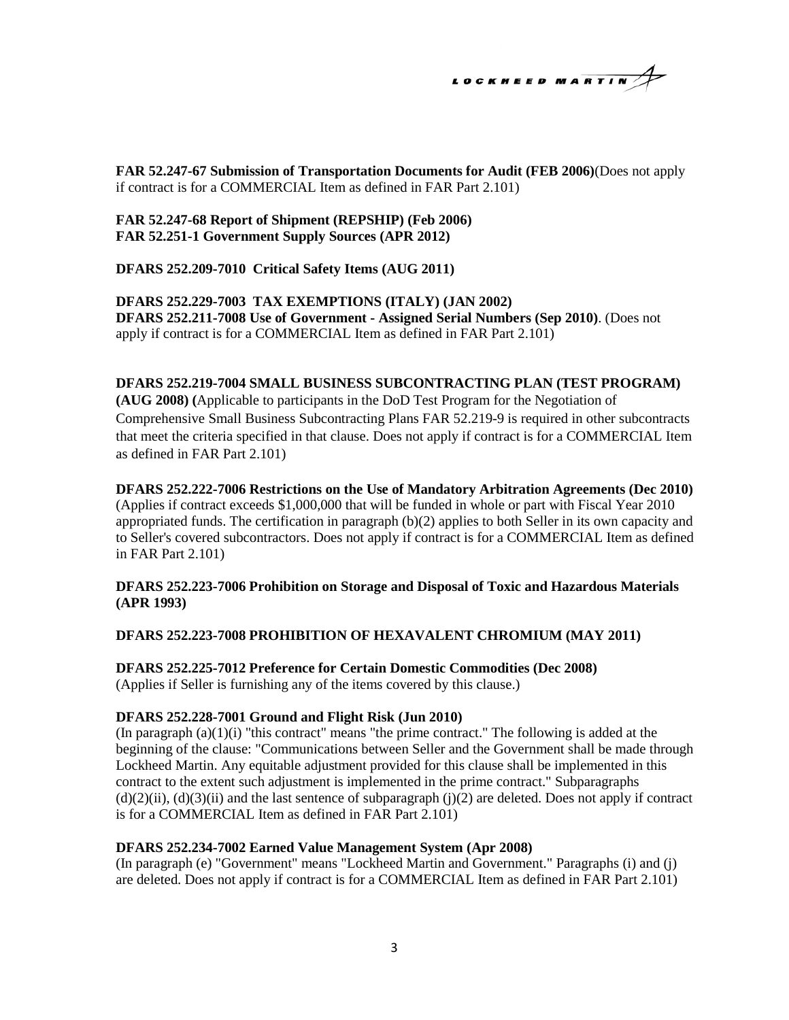$$
\begin{array}{c}\n\text{LocKHEED MARTIN} \\
\end{array}
$$

**FAR 52.247-67 Submission of Transportation Documents for Audit (FEB 2006)**(Does not apply if contract is for a COMMERCIAL Item as defined in FAR Part 2.101)

**FAR 52.247-68 Report of Shipment (REPSHIP) (Feb 2006) FAR 52.251-1 Government Supply Sources (APR 2012)**

**DFARS 252.209-7010 Critical Safety Items (AUG 2011)**

**DFARS 252.229-7003 TAX EXEMPTIONS (ITALY) (JAN 2002) DFARS 252.211-7008 Use of Government - Assigned Serial Numbers (Sep 2010)**. (Does not apply if contract is for a COMMERCIAL Item as defined in FAR Part 2.101)

## **DFARS 252.219-7004 SMALL BUSINESS SUBCONTRACTING PLAN (TEST PROGRAM)**

**(AUG 2008) (**Applicable to participants in the DoD Test Program for the Negotiation of Comprehensive Small Business Subcontracting Plans [FAR 52.219-9](https://cyberguide.global.lmco.com/fa219-09.htm) is required in other subcontracts that meet the criteria specified in that clause. Does not apply if contract is for a COMMERCIAL Item as defined in FAR Part 2.101)

**DFARS 252.222-7006 Restrictions on the Use of Mandatory Arbitration Agreements (Dec 2010)**  (Applies if contract exceeds \$1,000,000 that will be funded in whole or part with Fiscal Year 2010 appropriated funds. The certification in paragraph (b)(2) applies to both Seller in its own capacity and to Seller's covered subcontractors. Does not apply if contract is for a COMMERCIAL Item as defined in FAR Part 2.101)

## **DFARS 252.223-7006 Prohibition on Storage and Disposal of Toxic and Hazardous Materials (APR 1993)**

**DFARS 252.223-7008 PROHIBITION OF HEXAVALENT CHROMIUM (MAY 2011)** 

**DFARS 252.225-7012 Preference for Certain Domestic Commodities (Dec 2008)**  (Applies if Seller is furnishing any of the items covered by this clause.)

#### **DFARS 252.228-7001 Ground and Flight Risk (Jun 2010)**

(In paragraph  $(a)(1)(i)$  "this contract" means "the prime contract." The following is added at the beginning of the clause: "Communications between Seller and the Government shall be made through Lockheed Martin. Any equitable adjustment provided for this clause shall be implemented in this contract to the extent such adjustment is implemented in the prime contract." Subparagraphs  $(d)(2)(ii)$ ,  $(d)(3)(ii)$  and the last sentence of subparagraph  $(j)(2)$  are deleted. Does not apply if contract is for a COMMERCIAL Item as defined in FAR Part 2.101)

#### **DFARS 252.234-7002 Earned Value Management System (Apr 2008)**

(In paragraph (e) "Government" means "Lockheed Martin and Government." Paragraphs (i) and (j) are deleted. Does not apply if contract is for a COMMERCIAL Item as defined in FAR Part 2.101)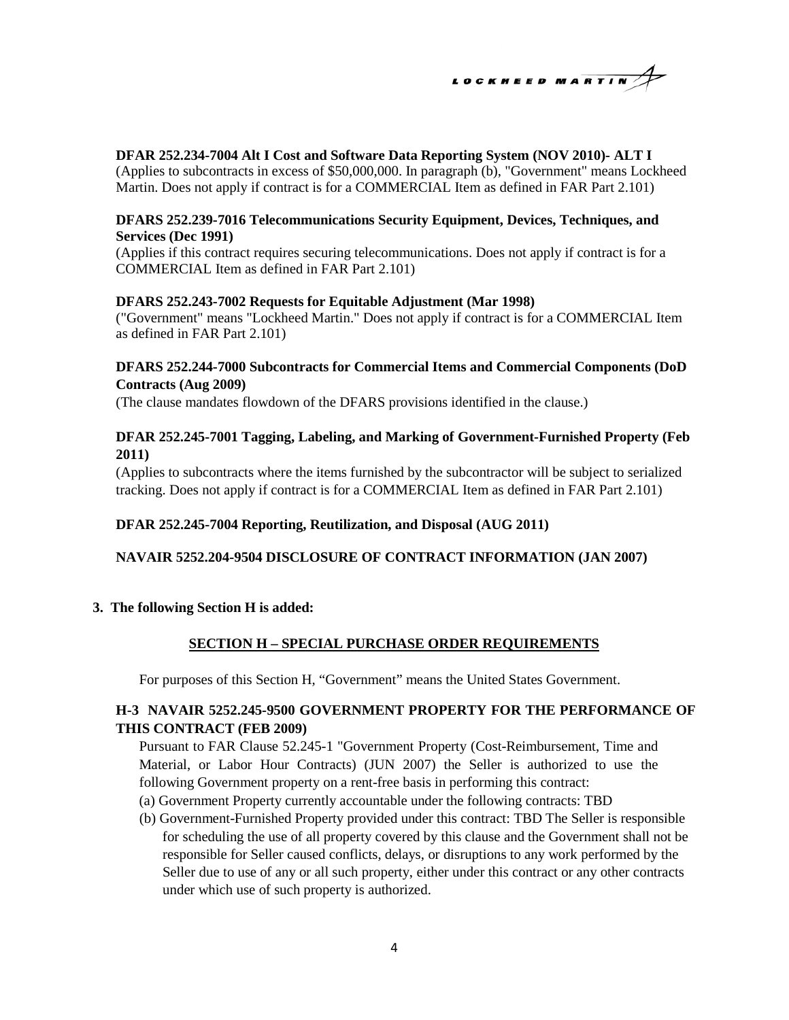

## **DFAR 252.234-7004 Alt I Cost and Software Data Reporting System (NOV 2010)- ALT I**

(Applies to subcontracts in excess of \$50,000,000. In paragraph (b), "Government" means Lockheed Martin. Does not apply if contract is for a COMMERCIAL Item as defined in FAR Part 2.101)

## **DFARS 252.239-7016 Telecommunications Security Equipment, Devices, Techniques, and Services (Dec 1991)**

(Applies if this contract requires securing telecommunications. Does not apply if contract is for a COMMERCIAL Item as defined in FAR Part 2.101)

## **DFARS 252.243-7002 Requests for Equitable Adjustment (Mar 1998)**

("Government" means "Lockheed Martin." Does not apply if contract is for a COMMERCIAL Item as defined in FAR Part 2.101)

# **DFARS 252.244-7000 Subcontracts for Commercial Items and Commercial Components (DoD Contracts (Aug 2009)**

(The clause mandates flowdown of the DFARS provisions identified in the clause.)

# **DFAR 252.245-7001 Tagging, Labeling, and Marking of Government-Furnished Property (Feb 2011)**

(Applies to subcontracts where the items furnished by the subcontractor will be subject to serialized tracking. Does not apply if contract is for a COMMERCIAL Item as defined in FAR Part 2.101)

## **DFAR 252.245-7004 Reporting, Reutilization, and Disposal (AUG 2011)**

#### **NAVAIR 5252.204-9504 DISCLOSURE OF CONTRACT INFORMATION (JAN 2007)**

#### **3. The following Section H is added:**

# **SECTION H – SPECIAL PURCHASE ORDER REQUIREMENTS**

For purposes of this Section H, "Government" means the United States Government.

# **H-3 NAVAIR 5252.245-9500 GOVERNMENT PROPERTY FOR THE PERFORMANCE OF THIS CONTRACT (FEB 2009)**

Pursuant to FAR Clause 52.245-1 "Government Property (Cost-Reimbursement, Time and Material, or Labor Hour Contracts) (JUN 2007) the Seller is authorized to use the following Government property on a rent-free basis in performing this contract:

- (a) Government Property currently accountable under the following contracts: TBD
- (b) Government-Furnished Property provided under this contract: TBD The Seller is responsible for scheduling the use of all property covered by this clause and the Government shall not be responsible for Seller caused conflicts, delays, or disruptions to any work performed by the Seller due to use of any or all such property, either under this contract or any other contracts under which use of such property is authorized.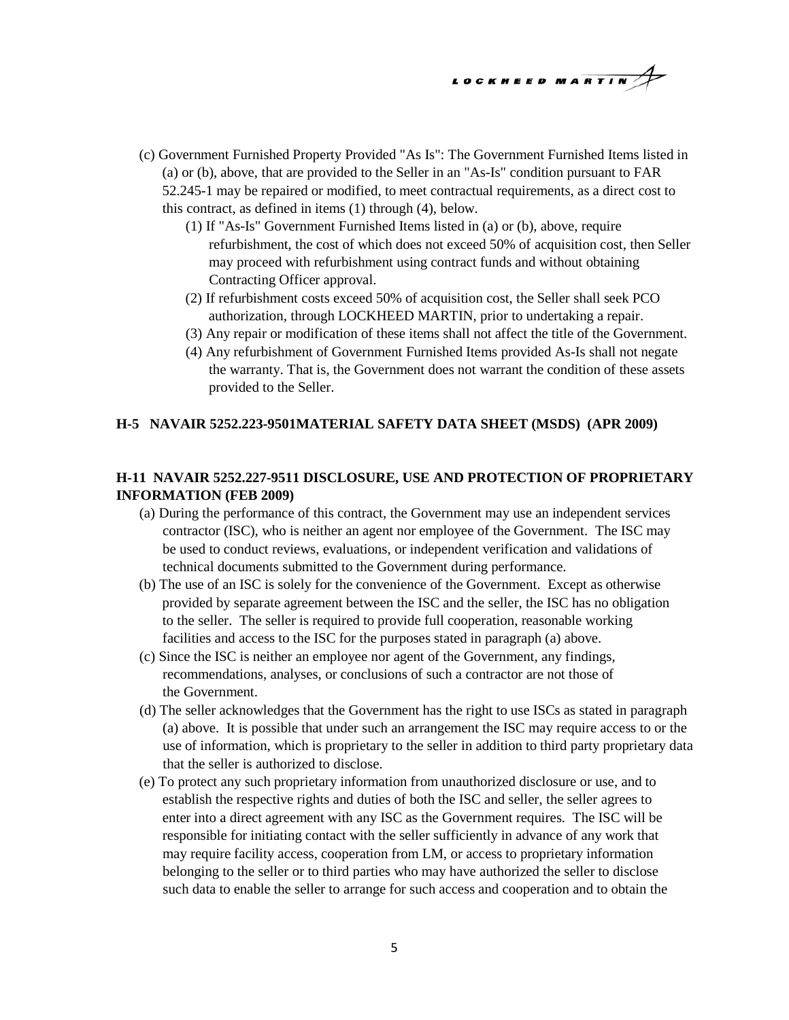

- (c) Government Furnished Property Provided "As Is": The Government Furnished Items listed in (a) or (b), above, that are provided to the Seller in an "As-Is" condition pursuant to FAR 52.245-1 may be repaired or modified, to meet contractual requirements, as a direct cost to this contract, as defined in items (1) through (4), below.
	- (1) If "As-Is" Government Furnished Items listed in (a) or (b), above, require refurbishment, the cost of which does not exceed 50% of acquisition cost, then Seller may proceed with refurbishment using contract funds and without obtaining Contracting Officer approval.
	- (2) If refurbishment costs exceed 50% of acquisition cost, the Seller shall seek PCO authorization, through LOCKHEED MARTIN, prior to undertaking a repair.
	- (3) Any repair or modification of these items shall not affect the title of the Government.
	- (4) Any refurbishment of Government Furnished Items provided As-Is shall not negate the warranty. That is, the Government does not warrant the condition of these assets provided to the Seller.

## **H-5 NAVAIR 5252.223-9501MATERIAL SAFETY DATA SHEET (MSDS) (APR 2009)**

# **H-11 NAVAIR 5252.227-9511 DISCLOSURE, USE AND PROTECTION OF PROPRIETARY INFORMATION (FEB 2009)**

- (a) During the performance of this contract, the Government may use an independent services contractor (ISC), who is neither an agent nor employee of the Government. The ISC may be used to conduct reviews, evaluations, or independent verification and validations of technical documents submitted to the Government during performance.
- (b) The use of an ISC is solely for the convenience of the Government. Except as otherwise provided by separate agreement between the ISC and the seller, the ISC has no obligation to the seller. The seller is required to provide full cooperation, reasonable working facilities and access to the ISC for the purposes stated in paragraph (a) above.
- (c) Since the ISC is neither an employee nor agent of the Government, any findings, recommendations, analyses, or conclusions of such a contractor are not those of the Government.
- (d) The seller acknowledges that the Government has the right to use ISCs as stated in paragraph (a) above. It is possible that under such an arrangement the ISC may require access to or the use of information, which is proprietary to the seller in addition to third party proprietary data that the seller is authorized to disclose.
- (e) To protect any such proprietary information from unauthorized disclosure or use, and to establish the respective rights and duties of both the ISC and seller, the seller agrees to enter into a direct agreement with any ISC as the Government requires. The ISC will be responsible for initiating contact with the seller sufficiently in advance of any work that may require facility access, cooperation from LM, or access to proprietary information belonging to the seller or to third parties who may have authorized the seller to disclose such data to enable the seller to arrange for such access and cooperation and to obtain the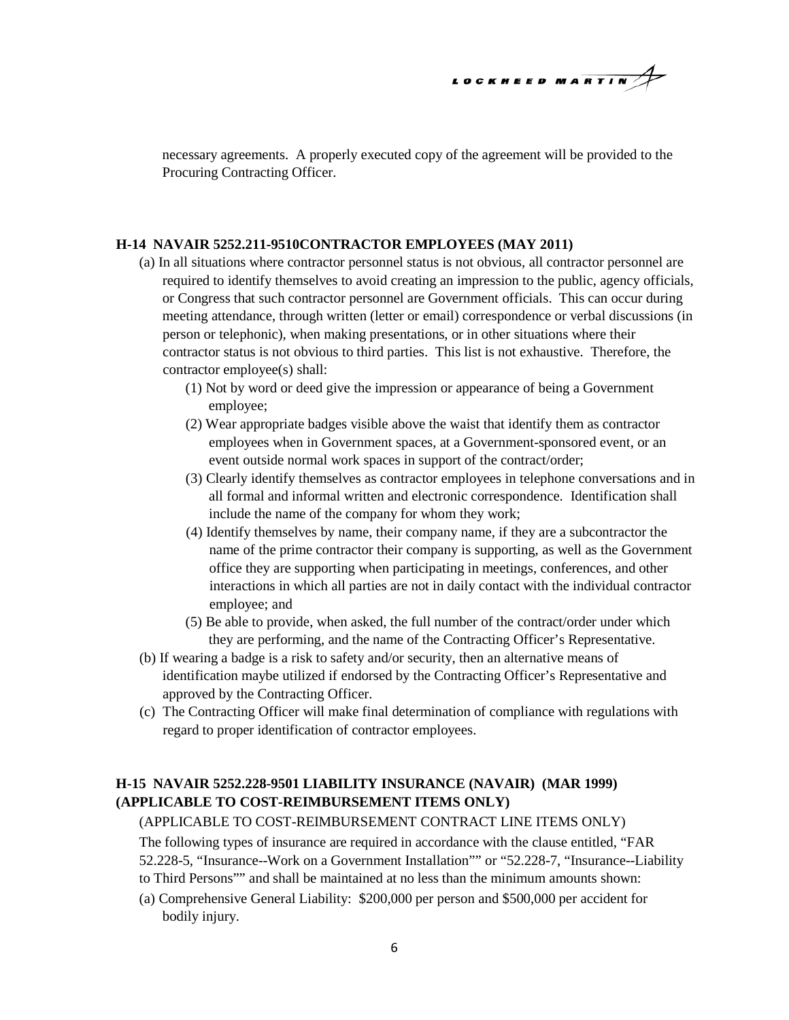# LOCKHEED MARTIN

necessary agreements. A properly executed copy of the agreement will be provided to the Procuring Contracting Officer.

## **H-14 NAVAIR 5252.211-9510CONTRACTOR EMPLOYEES (MAY 2011)**

- (a) In all situations where contractor personnel status is not obvious, all contractor personnel are required to identify themselves to avoid creating an impression to the public, agency officials, or Congress that such contractor personnel are Government officials. This can occur during meeting attendance, through written (letter or email) correspondence or verbal discussions (in person or telephonic), when making presentations, or in other situations where their contractor status is not obvious to third parties. This list is not exhaustive. Therefore, the contractor employee(s) shall:
	- (1) Not by word or deed give the impression or appearance of being a Government employee;
	- (2) Wear appropriate badges visible above the waist that identify them as contractor employees when in Government spaces, at a Government-sponsored event, or an event outside normal work spaces in support of the contract/order;
	- (3) Clearly identify themselves as contractor employees in telephone conversations and in all formal and informal written and electronic correspondence. Identification shall include the name of the company for whom they work;
	- (4) Identify themselves by name, their company name, if they are a subcontractor the name of the prime contractor their company is supporting, as well as the Government office they are supporting when participating in meetings, conferences, and other interactions in which all parties are not in daily contact with the individual contractor employee; and
	- (5) Be able to provide, when asked, the full number of the contract/order under which they are performing, and the name of the Contracting Officer's Representative.
- (b) If wearing a badge is a risk to safety and/or security, then an alternative means of identification maybe utilized if endorsed by the Contracting Officer's Representative and approved by the Contracting Officer.
- (c) The Contracting Officer will make final determination of compliance with regulations with regard to proper identification of contractor employees.

# **H-15 NAVAIR 5252.228-9501 LIABILITY INSURANCE (NAVAIR) (MAR 1999) (APPLICABLE TO COST-REIMBURSEMENT ITEMS ONLY)**

## (APPLICABLE TO COST-REIMBURSEMENT CONTRACT LINE ITEMS ONLY)

The following types of insurance are required in accordance with the clause entitled, "FAR 52.228-5, "Insurance--Work on a Government Installation"" or "52.228-7, "Insurance--Liability to Third Persons"" and shall be maintained at no less than the minimum amounts shown:

- 
- (a) Comprehensive General Liability: \$200,000 per person and \$500,000 per accident for bodily injury.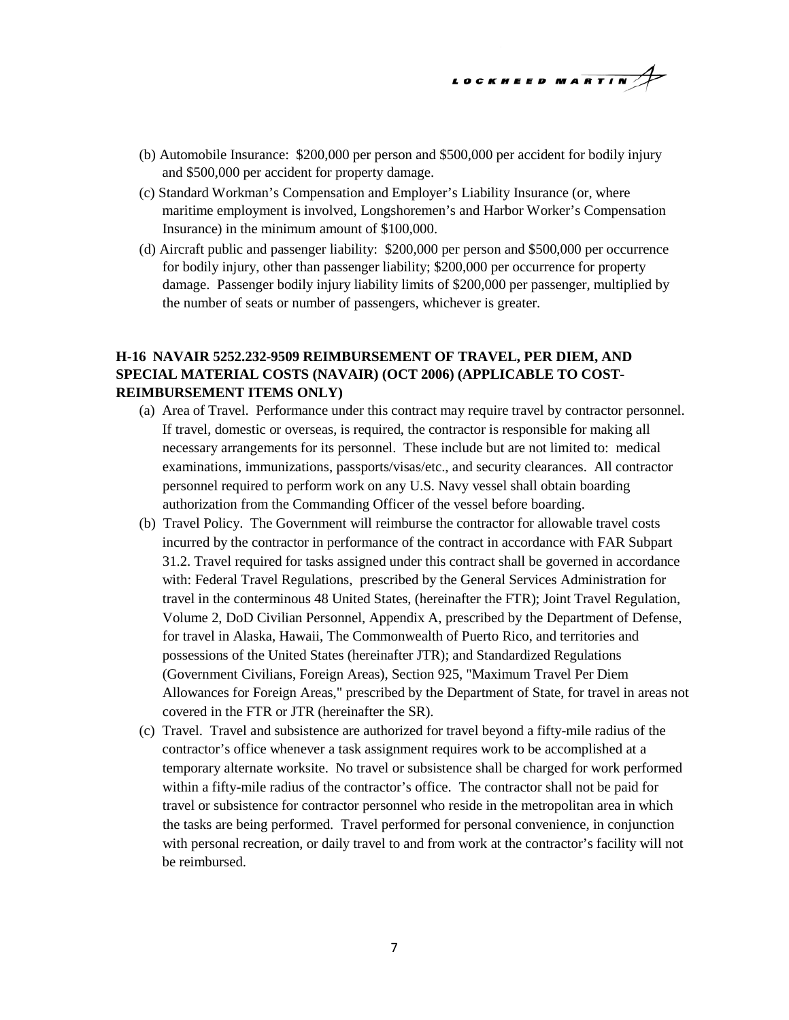

- (b) Automobile Insurance: \$200,000 per person and \$500,000 per accident for bodily injury and \$500,000 per accident for property damage.
- (c) Standard Workman's Compensation and Employer's Liability Insurance (or, where maritime employment is involved, Longshoremen's and Harbor Worker's Compensation Insurance) in the minimum amount of \$100,000.
- (d) Aircraft public and passenger liability: \$200,000 per person and \$500,000 per occurrence for bodily injury, other than passenger liability; \$200,000 per occurrence for property damage. Passenger bodily injury liability limits of \$200,000 per passenger, multiplied by the number of seats or number of passengers, whichever is greater.

# **H-16 NAVAIR 5252.232-9509 REIMBURSEMENT OF TRAVEL, PER DIEM, AND SPECIAL MATERIAL COSTS (NAVAIR) (OCT 2006) (APPLICABLE TO COST-REIMBURSEMENT ITEMS ONLY)**

- (a) Area of Travel. Performance under this contract may require travel by contractor personnel. If travel, domestic or overseas, is required, the contractor is responsible for making all necessary arrangements for its personnel. These include but are not limited to: medical examinations, immunizations, passports/visas/etc., and security clearances. All contractor personnel required to perform work on any U.S. Navy vessel shall obtain boarding authorization from the Commanding Officer of the vessel before boarding.
- (b) Travel Policy. The Government will reimburse the contractor for allowable travel costs incurred by the contractor in performance of the contract in accordance with FAR Subpart 31.2. Travel required for tasks assigned under this contract shall be governed in accordance with: Federal Travel Regulations, prescribed by the General Services Administration for travel in the conterminous 48 United States, (hereinafter the FTR); Joint Travel Regulation, Volume 2, DoD Civilian Personnel, Appendix A, prescribed by the Department of Defense, for travel in Alaska, Hawaii, The Commonwealth of Puerto Rico, and territories and possessions of the United States (hereinafter JTR); and Standardized Regulations (Government Civilians, Foreign Areas), Section 925, "Maximum Travel Per Diem Allowances for Foreign Areas," prescribed by the Department of State, for travel in areas not covered in the FTR or JTR (hereinafter the SR).
- (c) Travel. Travel and subsistence are authorized for travel beyond a fifty-mile radius of the contractor's office whenever a task assignment requires work to be accomplished at a temporary alternate worksite. No travel or subsistence shall be charged for work performed within a fifty-mile radius of the contractor's office. The contractor shall not be paid for travel or subsistence for contractor personnel who reside in the metropolitan area in which the tasks are being performed. Travel performed for personal convenience, in conjunction with personal recreation, or daily travel to and from work at the contractor's facility will not be reimbursed.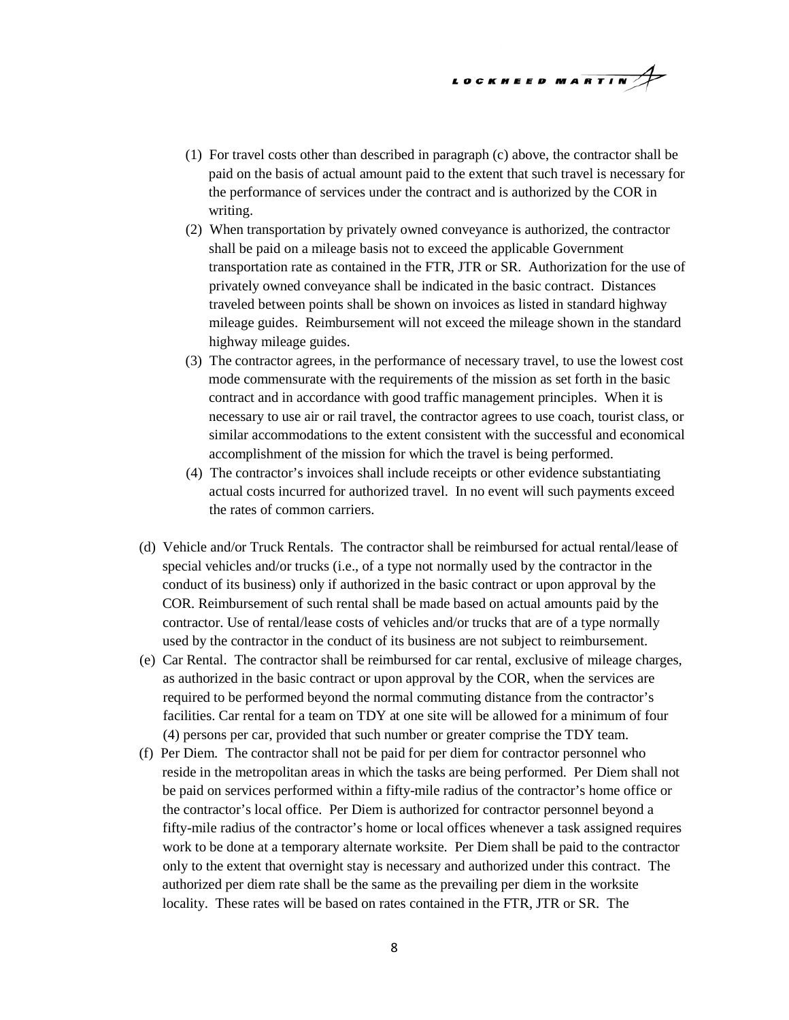

- (1) For travel costs other than described in paragraph (c) above, the contractor shall be paid on the basis of actual amount paid to the extent that such travel is necessary for the performance of services under the contract and is authorized by the COR in writing.
- (2) When transportation by privately owned conveyance is authorized, the contractor shall be paid on a mileage basis not to exceed the applicable Government transportation rate as contained in the FTR, JTR or SR. Authorization for the use of privately owned conveyance shall be indicated in the basic contract. Distances traveled between points shall be shown on invoices as listed in standard highway mileage guides. Reimbursement will not exceed the mileage shown in the standard highway mileage guides.
- (3) The contractor agrees, in the performance of necessary travel, to use the lowest cost mode commensurate with the requirements of the mission as set forth in the basic contract and in accordance with good traffic management principles. When it is necessary to use air or rail travel, the contractor agrees to use coach, tourist class, or similar accommodations to the extent consistent with the successful and economical accomplishment of the mission for which the travel is being performed.
- (4) The contractor's invoices shall include receipts or other evidence substantiating actual costs incurred for authorized travel. In no event will such payments exceed the rates of common carriers.
- (d) Vehicle and/or Truck Rentals. The contractor shall be reimbursed for actual rental/lease of special vehicles and/or trucks (i.e., of a type not normally used by the contractor in the conduct of its business) only if authorized in the basic contract or upon approval by the COR. Reimbursement of such rental shall be made based on actual amounts paid by the contractor. Use of rental/lease costs of vehicles and/or trucks that are of a type normally used by the contractor in the conduct of its business are not subject to reimbursement.
- (e) Car Rental. The contractor shall be reimbursed for car rental, exclusive of mileage charges, as authorized in the basic contract or upon approval by the COR, when the services are required to be performed beyond the normal commuting distance from the contractor's facilities. Car rental for a team on TDY at one site will be allowed for a minimum of four (4) persons per car, provided that such number or greater comprise the TDY team.
- (f) Per Diem. The contractor shall not be paid for per diem for contractor personnel who reside in the metropolitan areas in which the tasks are being performed. Per Diem shall not be paid on services performed within a fifty-mile radius of the contractor's home office or the contractor's local office. Per Diem is authorized for contractor personnel beyond a fifty-mile radius of the contractor's home or local offices whenever a task assigned requires work to be done at a temporary alternate worksite. Per Diem shall be paid to the contractor only to the extent that overnight stay is necessary and authorized under this contract. The authorized per diem rate shall be the same as the prevailing per diem in the worksite locality. These rates will be based on rates contained in the FTR, JTR or SR. The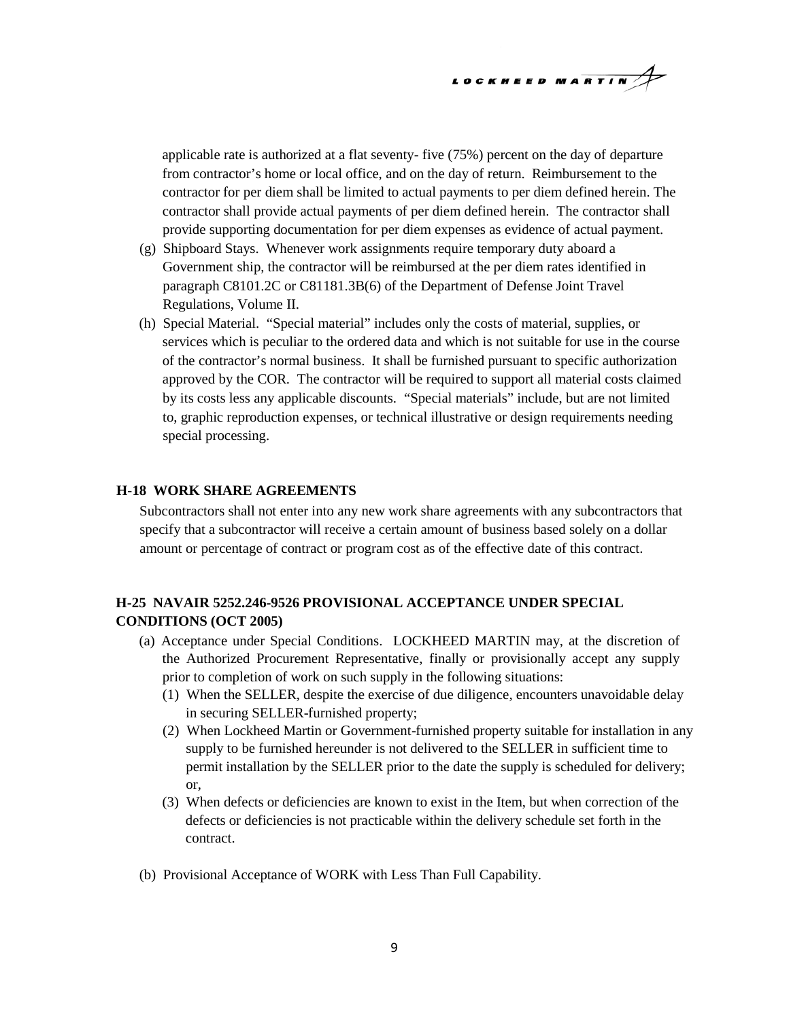$$
\begin{array}{c}\n\text{LockHEED MARTIN} \\
\end{array}
$$

applicable rate is authorized at a flat seventy- five (75%) percent on the day of departure from contractor's home or local office, and on the day of return. Reimbursement to the contractor for per diem shall be limited to actual payments to per diem defined herein. The contractor shall provide actual payments of per diem defined herein. The contractor shall provide supporting documentation for per diem expenses as evidence of actual payment.

- (g) Shipboard Stays. Whenever work assignments require temporary duty aboard a Government ship, the contractor will be reimbursed at the per diem rates identified in paragraph C8101.2C or C81181.3B(6) of the Department of Defense Joint Travel Regulations, Volume II.
- (h) Special Material. "Special material" includes only the costs of material, supplies, or services which is peculiar to the ordered data and which is not suitable for use in the course of the contractor's normal business. It shall be furnished pursuant to specific authorization approved by the COR. The contractor will be required to support all material costs claimed by its costs less any applicable discounts. "Special materials" include, but are not limited to, graphic reproduction expenses, or technical illustrative or design requirements needing special processing.

## **H-18 WORK SHARE AGREEMENTS**

Subcontractors shall not enter into any new work share agreements with any subcontractors that specify that a subcontractor will receive a certain amount of business based solely on a dollar amount or percentage of contract or program cost as of the effective date of this contract.

# **H-25 NAVAIR 5252.246-9526 PROVISIONAL ACCEPTANCE UNDER SPECIAL CONDITIONS (OCT 2005)**

- (a) Acceptance under Special Conditions. LOCKHEED MARTIN may, at the discretion of the Authorized Procurement Representative, finally or provisionally accept any supply prior to completion of work on such supply in the following situations:
	- (1) When the SELLER, despite the exercise of due diligence, encounters unavoidable delay in securing SELLER-furnished property;
	- (2) When Lockheed Martin or Government-furnished property suitable for installation in any supply to be furnished hereunder is not delivered to the SELLER in sufficient time to permit installation by the SELLER prior to the date the supply is scheduled for delivery; or,
	- (3) When defects or deficiencies are known to exist in the Item, but when correction of the defects or deficiencies is not practicable within the delivery schedule set forth in the contract.
- (b) Provisional Acceptance of WORK with Less Than Full Capability.